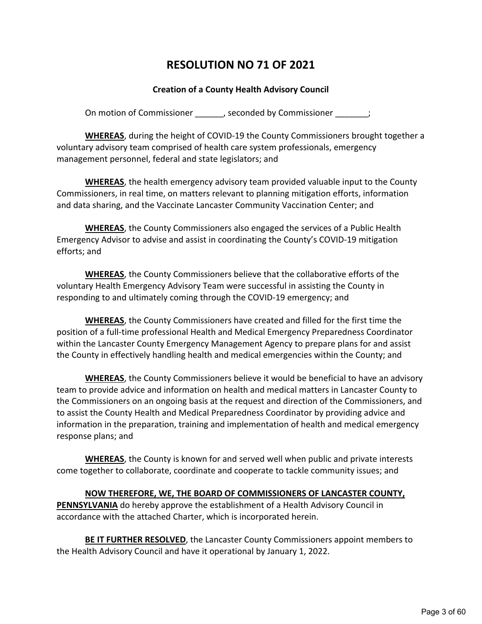# **RESOLUTION NO 71 OF 2021**

# **Creation of a County Health Advisory Council**

On motion of Commissioner (a) seconded by Commissioner  $\hspace{1.5cm}$ ;

**WHEREAS**, during the height of COVID-19 the County Commissioners brought together a voluntary advisory team comprised of health care system professionals, emergency management personnel, federal and state legislators; and

**WHEREAS**, the health emergency advisory team provided valuable input to the County Commissioners, in real time, on matters relevant to planning mitigation efforts, information and data sharing, and the Vaccinate Lancaster Community Vaccination Center; and

**WHEREAS**, the County Commissioners also engaged the services of a Public Health Emergency Advisor to advise and assist in coordinating the County's COVID-19 mitigation efforts; and

**WHEREAS**, the County Commissioners believe that the collaborative efforts of the voluntary Health Emergency Advisory Team were successful in assisting the County in responding to and ultimately coming through the COVID-19 emergency; and

**WHEREAS**, the County Commissioners have created and filled for the first time the position of a full-time professional Health and Medical Emergency Preparedness Coordinator within the Lancaster County Emergency Management Agency to prepare plans for and assist the County in effectively handling health and medical emergencies within the County; and

**WHEREAS**, the County Commissioners believe it would be beneficial to have an advisory team to provide advice and information on health and medical matters in Lancaster County to the Commissioners on an ongoing basis at the request and direction of the Commissioners, and to assist the County Health and Medical Preparedness Coordinator by providing advice and information in the preparation, training and implementation of health and medical emergency response plans; and

**WHEREAS**, the County is known for and served well when public and private interests come together to collaborate, coordinate and cooperate to tackle community issues; and

**NOW THEREFORE, WE, THE BOARD OF COMMISSIONERS OF LANCASTER COUNTY,** 

**PENNSYLVANIA** do hereby approve the establishment of a Health Advisory Council in accordance with the attached Charter, which is incorporated herein.

**BE IT FURTHER RESOLVED**, the Lancaster County Commissioners appoint members to the Health Advisory Council and have it operational by January 1, 2022.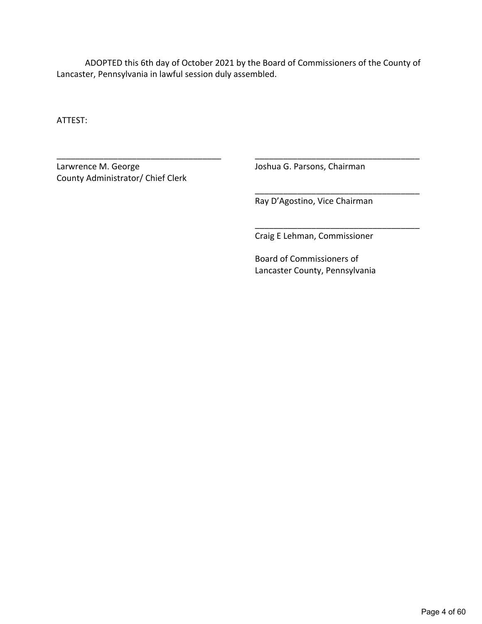ADOPTED this 6th day of October 2021 by the Board of Commissioners of the County of Lancaster, Pennsylvania in lawful session duly assembled.

\_\_\_\_\_\_\_\_\_\_\_\_\_\_\_\_\_\_\_\_\_\_\_\_\_\_\_\_\_\_\_\_\_\_\_ \_\_\_\_\_\_\_\_\_\_\_\_\_\_\_\_\_\_\_\_\_\_\_\_\_\_\_\_\_\_\_\_\_\_\_

ATTEST:

Larwrence M. George **Joshua G. Parsons, Chairman** County Administrator/ Chief Clerk

Ray D'Agostino, Vice Chairman

\_\_\_\_\_\_\_\_\_\_\_\_\_\_\_\_\_\_\_\_\_\_\_\_\_\_\_\_\_\_\_\_\_\_\_

\_\_\_\_\_\_\_\_\_\_\_\_\_\_\_\_\_\_\_\_\_\_\_\_\_\_\_\_\_\_\_\_\_\_\_

Craig E Lehman, Commissioner

Board of Commissioners of Lancaster County, Pennsylvania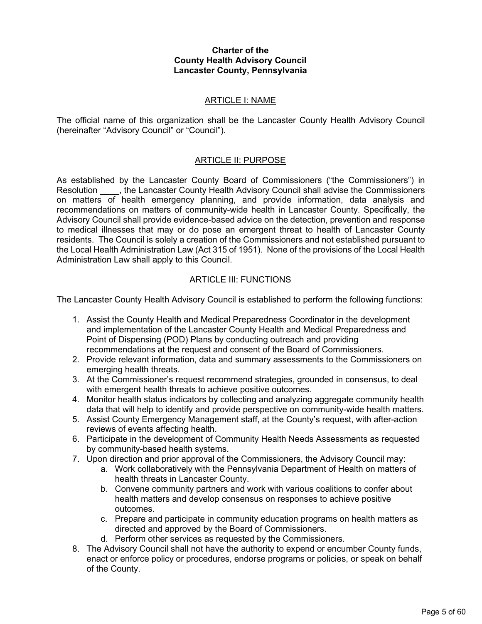#### **Charter of the County Health Advisory Council Lancaster County, Pennsylvania**

## ARTICLE I: NAME

The official name of this organization shall be the Lancaster County Health Advisory Council (hereinafter "Advisory Council" or "Council").

# ARTICLE II: PURPOSE

As established by the Lancaster County Board of Commissioners ("the Commissioners") in Resolution  $\blacksquare$ , the Lancaster County Health Advisory Council shall advise the Commissioners on matters of health emergency planning, and provide information, data analysis and recommendations on matters of community-wide health in Lancaster County. Specifically, the Advisory Council shall provide evidence-based advice on the detection, prevention and response to medical illnesses that may or do pose an emergent threat to health of Lancaster County residents. The Council is solely a creation of the Commissioners and not established pursuant to the Local Health Administration Law (Act 315 of 1951). None of the provisions of the Local Health Administration Law shall apply to this Council.

# ARTICLE III: FUNCTIONS

The Lancaster County Health Advisory Council is established to perform the following functions:

- 1. Assist the County Health and Medical Preparedness Coordinator in the development and implementation of the Lancaster County Health and Medical Preparedness and Point of Dispensing (POD) Plans by conducting outreach and providing recommendations at the request and consent of the Board of Commissioners.
- 2. Provide relevant information, data and summary assessments to the Commissioners on emerging health threats.
- 3. At the Commissioner's request recommend strategies, grounded in consensus, to deal with emergent health threats to achieve positive outcomes.
- 4. Monitor health status indicators by collecting and analyzing aggregate community health data that will help to identify and provide perspective on community-wide health matters.
- 5. Assist County Emergency Management staff, at the County's request, with after-action reviews of events affecting health.
- 6. Participate in the development of Community Health Needs Assessments as requested by community-based health systems.
- 7. Upon direction and prior approval of the Commissioners, the Advisory Council may:
	- a. Work collaboratively with the Pennsylvania Department of Health on matters of health threats in Lancaster County.
	- b. Convene community partners and work with various coalitions to confer about health matters and develop consensus on responses to achieve positive outcomes.
	- c. Prepare and participate in community education programs on health matters as directed and approved by the Board of Commissioners.
	- d. Perform other services as requested by the Commissioners.
- 8. The Advisory Council shall not have the authority to expend or encumber County funds, enact or enforce policy or procedures, endorse programs or policies, or speak on behalf of the County.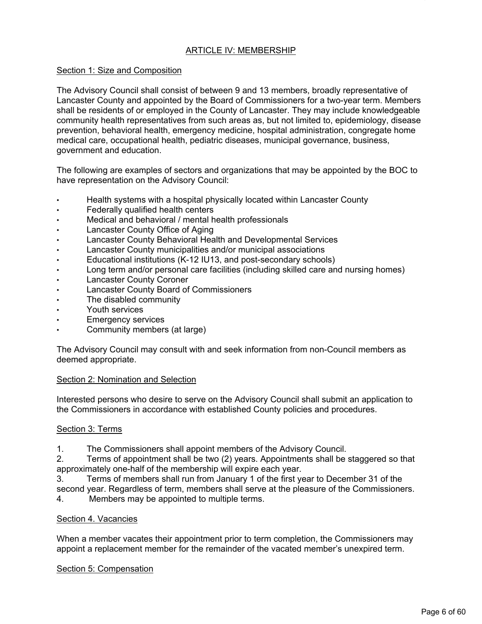# ARTICLE IV: MEMBERSHIP

# Section 1: Size and Composition

The Advisory Council shall consist of between 9 and 13 members, broadly representative of Lancaster County and appointed by the Board of Commissioners for a two-year term. Members shall be residents of or employed in the County of Lancaster. They may include knowledgeable community health representatives from such areas as, but not limited to, epidemiology, disease prevention, behavioral health, emergency medicine, hospital administration, congregate home medical care, occupational health, pediatric diseases, municipal governance, business, government and education.

The following are examples of sectors and organizations that may be appointed by the BOC to have representation on the Advisory Council:

- Health systems with a hospital physically located within Lancaster County
- Federally qualified health centers
- Medical and behavioral / mental health professionals
- Lancaster County Office of Aging
- Lancaster County Behavioral Health and Developmental Services
- Lancaster County municipalities and/or municipal associations
- Educational institutions (K-12 IU13, and post-secondary schools)
- Long term and/or personal care facilities (including skilled care and nursing homes)
- **Lancaster County Coroner**
- Lancaster County Board of Commissioners
- The disabled community
- Youth services
- **Emergency services**
- Community members (at large)

The Advisory Council may consult with and seek information from non-Council members as deemed appropriate.

#### Section 2: Nomination and Selection

Interested persons who desire to serve on the Advisory Council shall submit an application to the Commissioners in accordance with established County policies and procedures.

# Section 3: Terms

1. The Commissioners shall appoint members of the Advisory Council.

2. Terms of appointment shall be two (2) years. Appointments shall be staggered so that approximately one-half of the membership will expire each year.

3. Terms of members shall run from January 1 of the first year to December 31 of the second year. Regardless of term, members shall serve at the pleasure of the Commissioners.

4. Members may be appointed to multiple terms.

#### Section 4. Vacancies

When a member vacates their appointment prior to term completion, the Commissioners may appoint a replacement member for the remainder of the vacated member's unexpired term.

#### Section 5: Compensation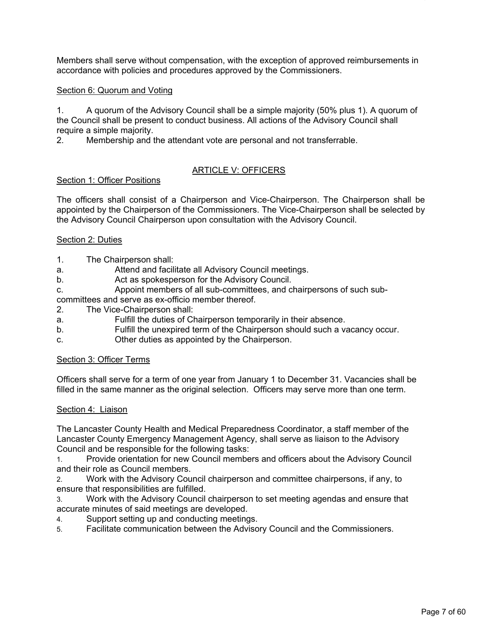Members shall serve without compensation, with the exception of approved reimbursements in accordance with policies and procedures approved by the Commissioners.

## Section 6: Quorum and Voting

1. A quorum of the Advisory Council shall be a simple majority (50% plus 1). A quorum of the Council shall be present to conduct business. All actions of the Advisory Council shall require a simple majority.

2. Membership and the attendant vote are personal and not transferrable.

# ARTICLE V: OFFICERS

## Section 1: Officer Positions

The officers shall consist of a Chairperson and Vice-Chairperson. The Chairperson shall be appointed by the Chairperson of the Commissioners. The Vice-Chairperson shall be selected by the Advisory Council Chairperson upon consultation with the Advisory Council.

#### Section 2: Duties

- 1. The Chairperson shall:
- a. Attend and facilitate all Advisory Council meetings.
- b. Act as spokesperson for the Advisory Council.
- c. Appoint members of all sub-committees, and chairpersons of such sub-

committees and serve as ex-officio member thereof.

- 2. The Vice-Chairperson shall:
- a. Fulfill the duties of Chairperson temporarily in their absence.
- b. Fulfill the unexpired term of the Chairperson should such a vacancy occur.
- c. Other duties as appointed by the Chairperson.

#### Section 3: Officer Terms

Officers shall serve for a term of one year from January 1 to December 31. Vacancies shall be filled in the same manner as the original selection. Officers may serve more than one term.

#### Section 4: Liaison

The Lancaster County Health and Medical Preparedness Coordinator, a staff member of the Lancaster County Emergency Management Agency, shall serve as liaison to the Advisory Council and be responsible for the following tasks:

1. Provide orientation for new Council members and officers about the Advisory Council and their role as Council members.

2. Work with the Advisory Council chairperson and committee chairpersons, if any, to ensure that responsibilities are fulfilled.

3. Work with the Advisory Council chairperson to set meeting agendas and ensure that accurate minutes of said meetings are developed.

- 4. Support setting up and conducting meetings.
- 5. Facilitate communication between the Advisory Council and the Commissioners.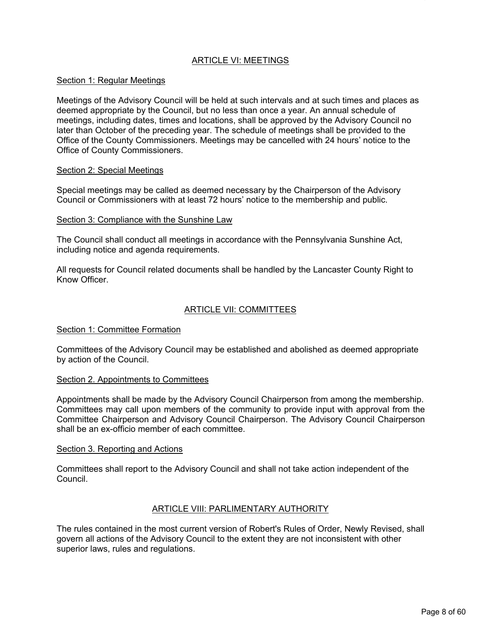# ARTICLE VI: MEETINGS

## Section 1: Regular Meetings

Meetings of the Advisory Council will be held at such intervals and at such times and places as deemed appropriate by the Council, but no less than once a year. An annual schedule of meetings, including dates, times and locations, shall be approved by the Advisory Council no later than October of the preceding year. The schedule of meetings shall be provided to the Office of the County Commissioners. Meetings may be cancelled with 24 hours' notice to the Office of County Commissioners.

#### Section 2: Special Meetings

Special meetings may be called as deemed necessary by the Chairperson of the Advisory Council or Commissioners with at least 72 hours' notice to the membership and public.

#### Section 3: Compliance with the Sunshine Law

The Council shall conduct all meetings in accordance with the Pennsylvania Sunshine Act, including notice and agenda requirements.

All requests for Council related documents shall be handled by the Lancaster County Right to Know Officer.

## ARTICLE VII: COMMITTEES

#### Section 1: Committee Formation

Committees of the Advisory Council may be established and abolished as deemed appropriate by action of the Council.

## Section 2. Appointments to Committees

Appointments shall be made by the Advisory Council Chairperson from among the membership. Committees may call upon members of the community to provide input with approval from the Committee Chairperson and Advisory Council Chairperson. The Advisory Council Chairperson shall be an ex-officio member of each committee.

#### Section 3. Reporting and Actions

Committees shall report to the Advisory Council and shall not take action independent of the Council.

#### ARTICLE VIII: PARLIMENTARY AUTHORITY

The rules contained in the most current version of Robert's Rules of Order, Newly Revised, shall govern all actions of the Advisory Council to the extent they are not inconsistent with other superior laws, rules and regulations.